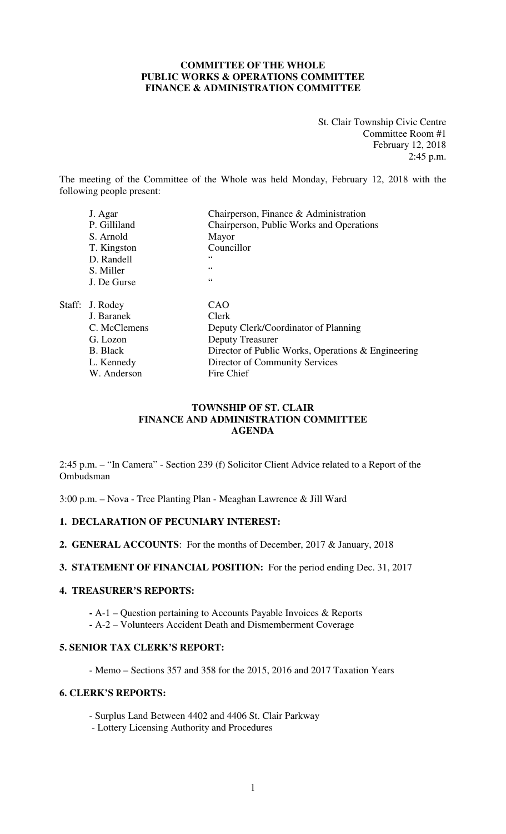# **COMMITTEE OF THE WHOLE PUBLIC WORKS & OPERATIONS COMMITTEE FINANCE & ADMINISTRATION COMMITTEE**

St. Clair Township Civic Centre Committee Room #1 February 12, 2018 2:45 p.m.

The meeting of the Committee of the Whole was held Monday, February 12, 2018 with the following people present:

| J. Agar         | Chairperson, Finance & Administration              |
|-----------------|----------------------------------------------------|
| P. Gilliland    | Chairperson, Public Works and Operations           |
| S. Arnold       | Mayor                                              |
| T. Kingston     | Councillor                                         |
| D. Randell      | 66                                                 |
| S. Miller       | $\zeta$ $\zeta$                                    |
| J. De Gurse     | 66                                                 |
|                 | CAO                                                |
| J. Baranek      | Clerk                                              |
| C. McClemens    | Deputy Clerk/Coordinator of Planning               |
| G. Lozon        | <b>Deputy Treasurer</b>                            |
| <b>B.</b> Black | Director of Public Works, Operations & Engineering |
| L. Kennedy      | Director of Community Services                     |
| W. Anderson     | Fire Chief                                         |
|                 | Staff: J. Rodey                                    |

# **TOWNSHIP OF ST. CLAIR FINANCE AND ADMINISTRATION COMMITTEE AGENDA**

2:45 p.m. – "In Camera" - Section 239 (f) Solicitor Client Advice related to a Report of the Ombudsman

3:00 p.m. – Nova - Tree Planting Plan - Meaghan Lawrence & Jill Ward

# **1. DECLARATION OF PECUNIARY INTEREST:**

**2. GENERAL ACCOUNTS**: For the months of December, 2017 & January, 2018

**3. STATEMENT OF FINANCIAL POSITION:** For the period ending Dec. 31, 2017

### **4. TREASURER'S REPORTS:**

**-** A-1 – Question pertaining to Accounts Payable Invoices & Reports

**-** A-2 – Volunteers Accident Death and Dismemberment Coverage

# **5. SENIOR TAX CLERK'S REPORT:**

- Memo – Sections 357 and 358 for the 2015, 2016 and 2017 Taxation Years

# **6. CLERK'S REPORTS:**

- Surplus Land Between 4402 and 4406 St. Clair Parkway
- Lottery Licensing Authority and Procedures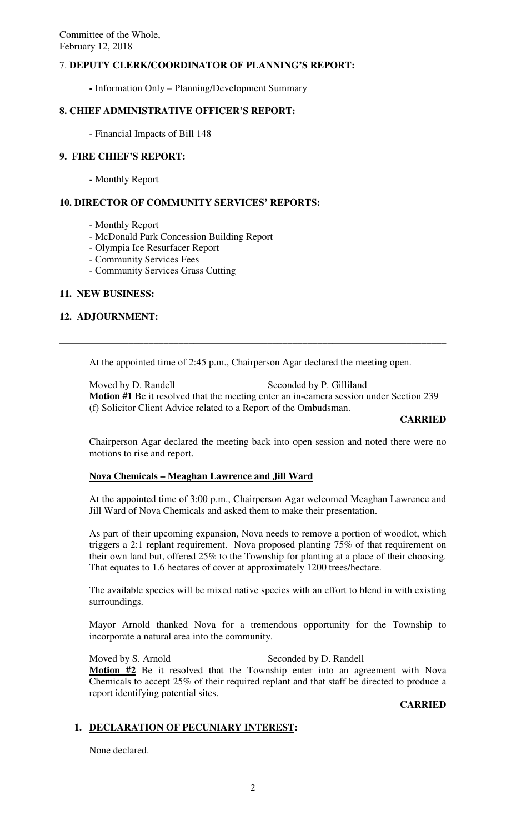# 7. **DEPUTY CLERK/COORDINATOR OF PLANNING'S REPORT:**

**-** Information Only – Planning/Development Summary

# **8. CHIEF ADMINISTRATIVE OFFICER'S REPORT:**

- Financial Impacts of Bill 148

### **9. FIRE CHIEF'S REPORT:**

 **-** Monthly Report

# **10. DIRECTOR OF COMMUNITY SERVICES' REPORTS:**

- Monthly Report
- McDonald Park Concession Building Report
- Olympia Ice Resurfacer Report
- Community Services Fees
- Community Services Grass Cutting

# **11. NEW BUSINESS:**

### **12. ADJOURNMENT:**

At the appointed time of 2:45 p.m., Chairperson Agar declared the meeting open.

**\_\_\_\_\_\_\_\_\_\_\_\_\_\_\_\_\_\_\_\_\_\_\_\_\_\_\_\_\_\_\_\_\_\_\_\_\_\_\_\_\_\_\_\_\_\_\_\_\_\_\_\_\_\_\_\_\_\_\_\_\_\_\_\_\_\_\_\_\_\_\_\_\_\_\_\_\_\_** 

Moved by D. Randell Seconded by P. Gilliland **Motion #1** Be it resolved that the meeting enter an in-camera session under Section 239 (f) Solicitor Client Advice related to a Report of the Ombudsman.

### **CARRIED**

Chairperson Agar declared the meeting back into open session and noted there were no motions to rise and report.

# **Nova Chemicals – Meaghan Lawrence and Jill Ward**

At the appointed time of 3:00 p.m., Chairperson Agar welcomed Meaghan Lawrence and Jill Ward of Nova Chemicals and asked them to make their presentation.

As part of their upcoming expansion, Nova needs to remove a portion of woodlot, which triggers a 2:1 replant requirement. Nova proposed planting 75% of that requirement on their own land but, offered 25% to the Township for planting at a place of their choosing. That equates to 1.6 hectares of cover at approximately 1200 trees/hectare.

The available species will be mixed native species with an effort to blend in with existing surroundings.

Mayor Arnold thanked Nova for a tremendous opportunity for the Township to incorporate a natural area into the community.

Moved by S. Arnold Seconded by D. Randell **Motion #2** Be it resolved that the Township enter into an agreement with Nova Chemicals to accept 25% of their required replant and that staff be directed to produce a report identifying potential sites.

# **CARRIED**

### **1. DECLARATION OF PECUNIARY INTEREST:**

None declared.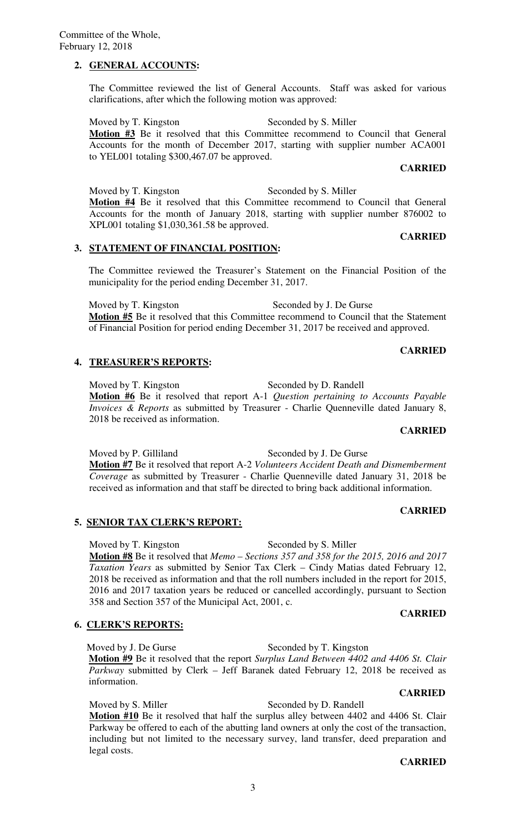Committee of the Whole, February 12, 2018

# **2. GENERAL ACCOUNTS:**

The Committee reviewed the list of General Accounts. Staff was asked for various clarifications, after which the following motion was approved:

Moved by T. Kingston Seconded by S. Miller **Motion #3** Be it resolved that this Committee recommend to Council that General Accounts for the month of December 2017, starting with supplier number ACA001 to YEL001 totaling \$300,467.07 be approved.

# **CARRIED**

**CARRIED** 

Moved by T. Kingston Seconded by S. Miller **Motion #4** Be it resolved that this Committee recommend to Council that General Accounts for the month of January 2018, starting with supplier number 876002 to XPL001 totaling \$1,030,361.58 be approved.

# **3. STATEMENT OF FINANCIAL POSITION:**

The Committee reviewed the Treasurer's Statement on the Financial Position of the municipality for the period ending December 31, 2017.

Moved by T. Kingston Seconded by J. De Gurse **Motion #5** Be it resolved that this Committee recommend to Council that the Statement of Financial Position for period ending December 31, 2017 be received and approved.

# **4. TREASURER'S REPORTS:**

Moved by T. Kingston Seconded by D. Randell **Motion #6** Be it resolved that report A-1 *Question pertaining to Accounts Payable Invoices & Reports* as submitted by Treasurer - Charlie Quenneville dated January 8, 2018 be received as information.

# **CARRIED**

**CARRIED** 

**CARRIED** 

Moved by P. Gilliland Seconded by J. De Gurse **Motion #7** Be it resolved that report A-2 *Volunteers Accident Death and Dismemberment Coverage* as submitted by Treasurer - Charlie Quenneville dated January 31, 2018 be received as information and that staff be directed to bring back additional information.

# **5. SENIOR TAX CLERK'S REPORT:**

Moved by T. Kingston Seconded by S. Miller **Motion #8** Be it resolved that *Memo* – *Sections 357 and 358 for the 2015, 2016 and 2017 Taxation Years* as submitted by Senior Tax Clerk – Cindy Matias dated February 12, 2018 be received as information and that the roll numbers included in the report for 2015, 2016 and 2017 taxation years be reduced or cancelled accordingly, pursuant to Section 358 and Section 357 of the Municipal Act, 2001, c.

# **6. CLERK'S REPORTS:**

Moved by J. De Gurse Seconded by T. Kingston **Motion #9** Be it resolved that the report *Surplus Land Between 4402 and 4406 St. Clair Parkway* submitted by Clerk – Jeff Baranek dated February 12, 2018 be received as information.

Moved by S. Miller Seconded by D. Randell **Motion #10** Be it resolved that half the surplus alley between 4402 and 4406 St. Clair Parkway be offered to each of the abutting land owners at only the cost of the transaction, including but not limited to the necessary survey, land transfer, deed preparation and legal costs.

# **CARRIED**

 **CARRIED**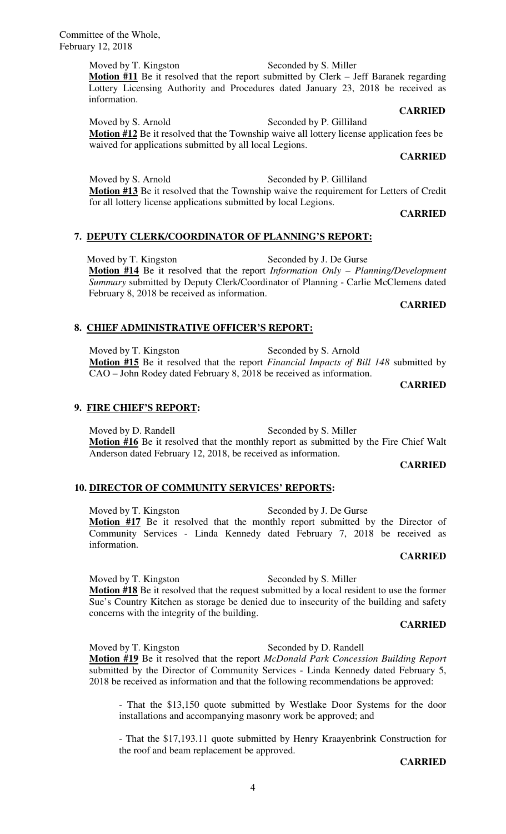Committee of the Whole, February 12, 2018

> Moved by T. Kingston Seconded by S. Miller **Motion #11** Be it resolved that the report submitted by Clerk – Jeff Baranek regarding Lottery Licensing Authority and Procedures dated January 23, 2018 be received as information.

Moved by S. Arnold Seconded by P. Gilliland **Motion #12** Be it resolved that the Township waive all lottery license application fees be waived for applications submitted by all local Legions.

# **CARRIED**

Moved by S. Arnold Seconded by P. Gilliland **Motion #13** Be it resolved that the Township waive the requirement for Letters of Credit for all lottery license applications submitted by local Legions.

### **CARRIED**

# **7. DEPUTY CLERK/COORDINATOR OF PLANNING'S REPORT:**

Moved by T. Kingston Seconded by J. De Gurse **Motion #14** Be it resolved that the report *Information Only – Planning/Development Summary* submitted by Deputy Clerk/Coordinator of Planning - Carlie McClemens dated February 8, 2018 be received as information.

### **CARRIED**

### **8. CHIEF ADMINISTRATIVE OFFICER'S REPORT:**

Moved by T. Kingston Seconded by S. Arnold **Motion #15** Be it resolved that the report *Financial Impacts of Bill 148* submitted by CAO – John Rodey dated February 8, 2018 be received as information.

### **CARRIED**

### **9. FIRE CHIEF'S REPORT:**

Moved by D. Randell Seconded by S. Miller **Motion #16** Be it resolved that the monthly report as submitted by the Fire Chief Walt Anderson dated February 12, 2018, be received as information.

### **CARRIED**

# **10. DIRECTOR OF COMMUNITY SERVICES' REPORTS:**

Moved by T. Kingston Seconded by J. De Gurse **Motion #17** Be it resolved that the monthly report submitted by the Director of Community Services - Linda Kennedy dated February 7, 2018 be received as information.

# **CARRIED**

Moved by T. Kingston Seconded by S. Miller **Motion #18** Be it resolved that the request submitted by a local resident to use the former Sue's Country Kitchen as storage be denied due to insecurity of the building and safety concerns with the integrity of the building.

# **CARRIED**

Moved by T. Kingston Seconded by D. Randell **Motion #19** Be it resolved that the report *McDonald Park Concession Building Report*  submitted by the Director of Community Services - Linda Kennedy dated February 5, 2018 be received as information and that the following recommendations be approved:

- That the \$13,150 quote submitted by Westlake Door Systems for the door installations and accompanying masonry work be approved; and

- That the \$17,193.11 quote submitted by Henry Kraayenbrink Construction for the roof and beam replacement be approved.

### **CARRIED**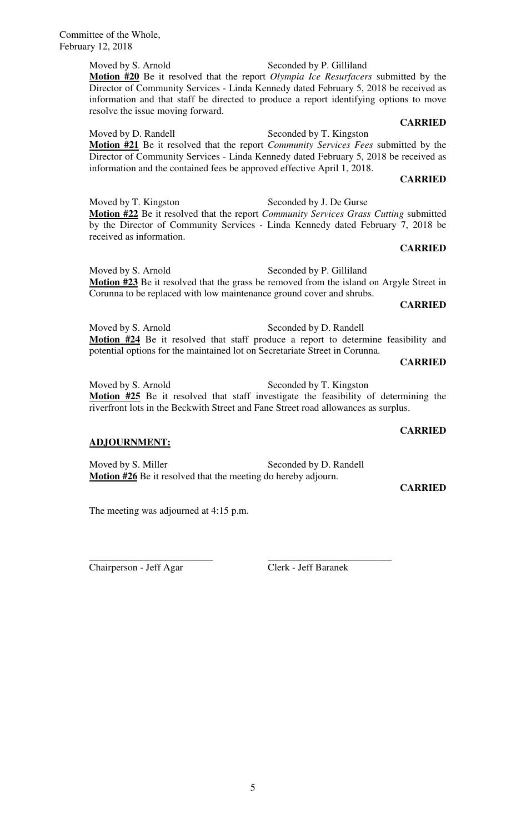Moved by S. Arnold Seconded by P. Gilliland **Motion #20** Be it resolved that the report *Olympia Ice Resurfacers* submitted by the Director of Community Services - Linda Kennedy dated February 5, 2018 be received as information and that staff be directed to produce a report identifying options to move resolve the issue moving forward.

### **CARRIED**

Moved by D. Randell Seconded by T. Kingston

**Motion #21** Be it resolved that the report *Community Services Fees* submitted by the Director of Community Services - Linda Kennedy dated February 5, 2018 be received as information and the contained fees be approved effective April 1, 2018.

### **CARRIED**

Moved by T. Kingston Seconded by J. De Gurse **Motion #22** Be it resolved that the report *Community Services Grass Cutting* submitted by the Director of Community Services - Linda Kennedy dated February 7, 2018 be received as information.

### **CARRIED**

Moved by S. Arnold Seconded by P. Gilliland **Motion #23** Be it resolved that the grass be removed from the island on Argyle Street in Corunna to be replaced with low maintenance ground cover and shrubs.

### **CARRIED**

Moved by S. Arnold Seconded by D. Randell **Motion #24** Be it resolved that staff produce a report to determine feasibility and potential options for the maintained lot on Secretariate Street in Corunna.

### **CARRIED**

Moved by S. Arnold Seconded by T. Kingston **Motion #25** Be it resolved that staff investigate the feasibility of determining the riverfront lots in the Beckwith Street and Fane Street road allowances as surplus.

# **ADJOURNMENT:**

Moved by S. Miller Seconded by D. Randell **Motion #26** Be it resolved that the meeting do hereby adjourn.

# **CARRIED**

**CARRIED** 

The meeting was adjourned at 4:15 p.m.

Chairperson - Jeff Agar Clerk - Jeff Baranek

\_\_\_\_\_\_\_\_\_\_\_\_\_\_\_\_\_\_\_\_\_\_\_\_\_ \_\_\_\_\_\_\_\_\_\_\_\_\_\_\_\_\_\_\_\_\_\_\_\_\_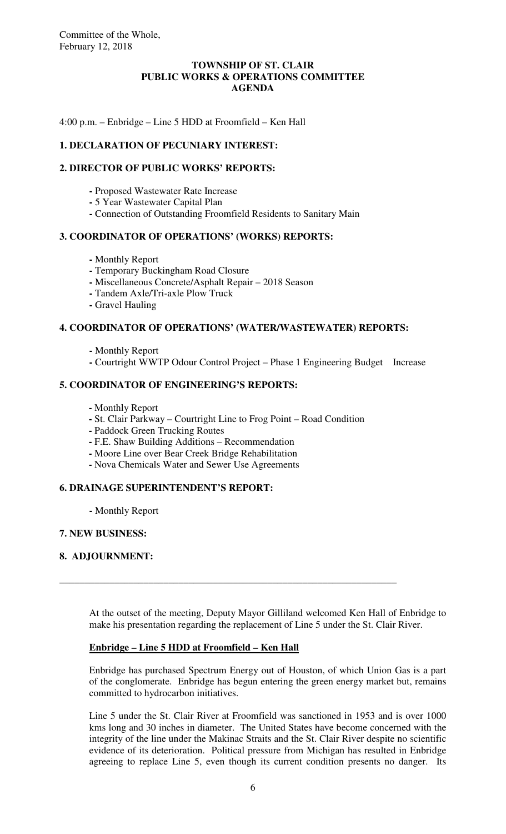# **TOWNSHIP OF ST. CLAIR PUBLIC WORKS & OPERATIONS COMMITTEE AGENDA**

4:00 p.m. – Enbridge – Line 5 HDD at Froomfield – Ken Hall

# **1. DECLARATION OF PECUNIARY INTEREST:**

# **2. DIRECTOR OF PUBLIC WORKS' REPORTS:**

- **-** Proposed Wastewater Rate Increase
- **-** 5 Year Wastewater Capital Plan
- **-** Connection of Outstanding Froomfield Residents to Sanitary Main

# **3. COORDINATOR OF OPERATIONS' (WORKS) REPORTS:**

- Monthly Report
- **-** Temporary Buckingham Road Closure
- **-** Miscellaneous Concrete/Asphalt Repair 2018 Season
- **-** Tandem Axle/Tri-axle Plow Truck
- **-** Gravel Hauling

# **4. COORDINATOR OF OPERATIONS' (WATER/WASTEWATER) REPORTS:**

- Monthly Report
- **-** Courtright WWTP Odour Control Project Phase 1 Engineering Budget Increase

# **5. COORDINATOR OF ENGINEERING'S REPORTS:**

- **-** Monthly Report
- St. Clair Parkway Courtright Line to Frog Point Road Condition

\_\_\_\_\_\_\_\_\_\_\_\_\_\_\_\_\_\_\_\_\_\_\_\_\_\_\_\_\_\_\_\_\_\_\_\_\_\_\_\_\_\_\_\_\_\_\_\_\_\_\_\_\_\_\_\_\_\_\_\_\_\_\_\_\_\_\_\_

- **-** Paddock Green Trucking Routes
- **-** F.E. Shaw Building Additions Recommendation
- Moore Line over Bear Creek Bridge Rehabilitation
- Nova Chemicals Water and Sewer Use Agreements

# **6. DRAINAGE SUPERINTENDENT'S REPORT:**

 **-** Monthly Report

# **7. NEW BUSINESS:**

# **8. ADJOURNMENT:**

At the outset of the meeting, Deputy Mayor Gilliland welcomed Ken Hall of Enbridge to make his presentation regarding the replacement of Line 5 under the St. Clair River.

# **Enbridge – Line 5 HDD at Froomfield – Ken Hall**

Enbridge has purchased Spectrum Energy out of Houston, of which Union Gas is a part of the conglomerate. Enbridge has begun entering the green energy market but, remains committed to hydrocarbon initiatives.

Line 5 under the St. Clair River at Froomfield was sanctioned in 1953 and is over 1000 kms long and 30 inches in diameter. The United States have become concerned with the integrity of the line under the Makinac Straits and the St. Clair River despite no scientific evidence of its deterioration. Political pressure from Michigan has resulted in Enbridge agreeing to replace Line 5, even though its current condition presents no danger. Its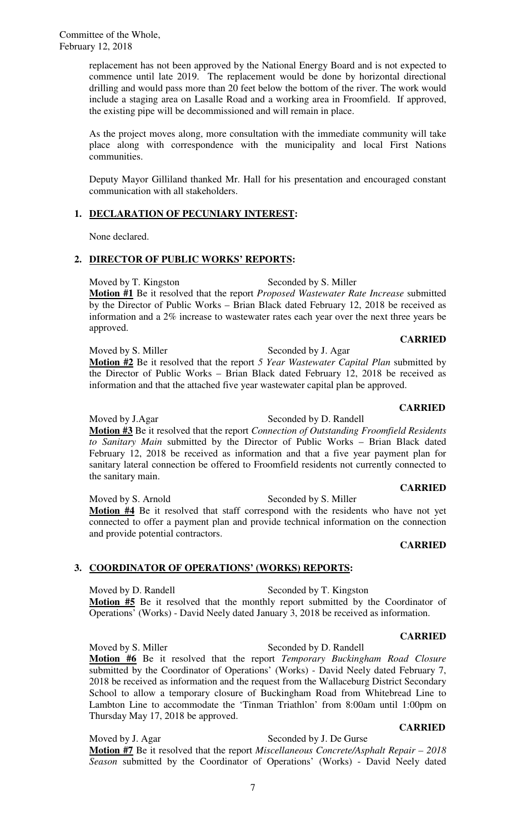replacement has not been approved by the National Energy Board and is not expected to commence until late 2019. The replacement would be done by horizontal directional drilling and would pass more than 20 feet below the bottom of the river. The work would include a staging area on Lasalle Road and a working area in Froomfield. If approved, the existing pipe will be decommissioned and will remain in place.

As the project moves along, more consultation with the immediate community will take place along with correspondence with the municipality and local First Nations communities.

Deputy Mayor Gilliland thanked Mr. Hall for his presentation and encouraged constant communication with all stakeholders.

# **1. DECLARATION OF PECUNIARY INTEREST:**

None declared.

# **2. DIRECTOR OF PUBLIC WORKS' REPORTS:**

Moved by T. Kingston Seconded by S. Miller **Motion #1** Be it resolved that the report *Proposed Wastewater Rate Increase* submitted by the Director of Public Works – Brian Black dated February 12, 2018 be received as information and a 2% increase to wastewater rates each year over the next three years be approved.

# **CARRIED**

Moved by S. Miller Seconded by J. Agar **Motion #2** Be it resolved that the report *5 Year Wastewater Capital Plan* submitted by the Director of Public Works – Brian Black dated February 12, 2018 be received as information and that the attached five year wastewater capital plan be approved.

### **CARRIED**

Moved by J.Agar Seconded by D. Randell **Motion #3** Be it resolved that the report *Connection of Outstanding Froomfield Residents to Sanitary Main* submitted by the Director of Public Works – Brian Black dated February 12, 2018 be received as information and that a five year payment plan for sanitary lateral connection be offered to Froomfield residents not currently connected to the sanitary main.

Moved by S. Arnold Seconded by S. Miller **Motion #4** Be it resolved that staff correspond with the residents who have not yet connected to offer a payment plan and provide technical information on the connection and provide potential contractors.

### **CARRIED**

# **3. COORDINATOR OF OPERATIONS' (WORKS) REPORTS:**

Moved by D. Randell Seconded by T. Kingston **Motion #5** Be it resolved that the monthly report submitted by the Coordinator of Operations' (Works) - David Neely dated January 3, 2018 be received as information.

### **CARRIED**

Moved by S. Miller Seconded by D. Randell **Motion #6** Be it resolved that the report *Temporary Buckingham Road Closure* submitted by the Coordinator of Operations' (Works) - David Neely dated February 7, 2018 be received as information and the request from the Wallaceburg District Secondary School to allow a temporary closure of Buckingham Road from Whitebread Line to Lambton Line to accommodate the 'Tinman Triathlon' from 8:00am until 1:00pm on Thursday May 17, 2018 be approved.

 **CARRIED** 

Moved by J. Agar Seconded by J. De Gurse **Motion #7** Be it resolved that the report *Miscellaneous Concrete/Asphalt Repair – 2018 Season* submitted by the Coordinator of Operations' (Works) - David Neely dated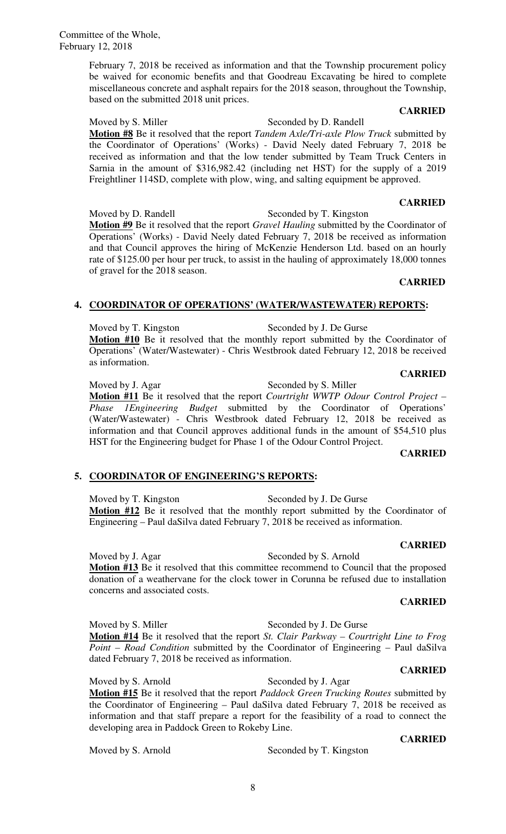# Moved by S. Arnold Seconded by T. Kingston

# **4. COORDINATOR OF OPERATIONS' (WATER/WASTEWATER) REPORTS:**

Moved by T. Kingston Seconded by J. De Gurse **Motion #10** Be it resolved that the monthly report submitted by the Coordinator of Operations' (Water/Wastewater) - Chris Westbrook dated February 12, 2018 be received as information.

Moved by J. Agar Seconded by S. Miller

Moved by T. Kingston Seconded by J. De Gurse Engineering – Paul daSilva dated February 7, 2018 be received as information.

**CARRIED** 

Moved by J. Agar Seconded by S. Arnold **Motion #13** Be it resolved that this committee recommend to Council that the proposed donation of a weathervane for the clock tower in Corunna be refused due to installation concerns and associated costs.

# **CARRIED**

Moved by S. Miller Seconded by J. De Gurse **Motion #14** Be it resolved that the report *St. Clair Parkway – Courtright Line to Frog Point – Road Condition* submitted by the Coordinator of Engineering – Paul daSilva dated February 7, 2018 be received as information. **CARRIED** 

the Coordinator of Operations' (Works) - David Neely dated February 7, 2018 be received as information and that the low tender submitted by Team Truck Centers in Sarnia in the amount of \$316,982.42 (including net HST) for the supply of a 2019 Freightliner 114SD, complete with plow, wing, and salting equipment be approved.  **CARRIED** 

February 7, 2018 be received as information and that the Township procurement policy be waived for economic benefits and that Goodreau Excavating be hired to complete miscellaneous concrete and asphalt repairs for the 2018 season, throughout the Township,

Moved by S. Miller Seconded by D. Randell

Moved by D. Randell Seconded by T. Kingston **Motion #9** Be it resolved that the report *Gravel Hauling* submitted by the Coordinator of Operations' (Works) - David Neely dated February 7, 2018 be received as information and that Council approves the hiring of McKenzie Henderson Ltd. based on an hourly rate of \$125.00 per hour per truck, to assist in the hauling of approximately 18,000 tonnes of gravel for the 2018 season.  **CARRIED** 

**CARRIED** 

**Motion #11** Be it resolved that the report *Courtright WWTP Odour Control Project – Phase 1Engineering Budget* submitted by the Coordinator of Operations' (Water/Wastewater) - Chris Westbrook dated February 12, 2018 be received as information and that Council approves additional funds in the amount of \$54,510 plus HST for the Engineering budget for Phase 1 of the Odour Control Project. **CARRIED** 

# **5. COORDINATOR OF ENGINEERING'S REPORTS:**

developing area in Paddock Green to Rokeby Line.

**Motion #12** Be it resolved that the monthly report submitted by the Coordinator of

8

based on the submitted 2018 unit prices.

# **CARRIED Motion #8** Be it resolved that the report *Tandem Axle/Tri-axle Plow Truck* submitted by

**CARRIED** 

Moved by S. Arnold Seconded by J. Agar **Motion #15** Be it resolved that the report *Paddock Green Trucking Routes* submitted by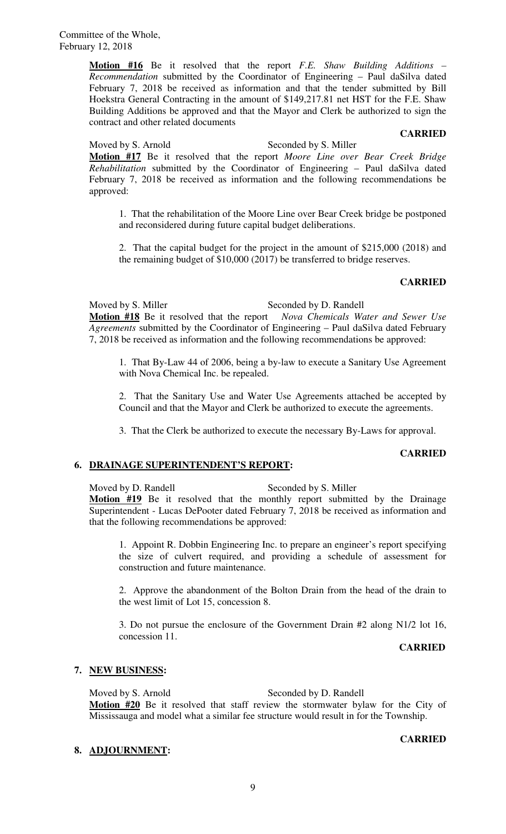**Motion #16** Be it resolved that the report *F.E. Shaw Building Additions – Recommendation* submitted by the Coordinator of Engineering – Paul daSilva dated February 7, 2018 be received as information and that the tender submitted by Bill Hoekstra General Contracting in the amount of \$149,217.81 net HST for the F.E. Shaw Building Additions be approved and that the Mayor and Clerk be authorized to sign the contract and other related documents

### **CARRIED**

Moved by S. Arnold Seconded by S. Miller **Motion #17** Be it resolved that the report *Moore Line over Bear Creek Bridge Rehabilitation* submitted by the Coordinator of Engineering – Paul daSilva dated February 7, 2018 be received as information and the following recommendations be approved:

1. That the rehabilitation of the Moore Line over Bear Creek bridge be postponed and reconsidered during future capital budget deliberations.

2. That the capital budget for the project in the amount of \$215,000 (2018) and the remaining budget of \$10,000 (2017) be transferred to bridge reserves.

### **CARRIED**

Moved by S. Miller Seconded by D. Randell **Motion #18** Be it resolved that the report *Nova Chemicals Water and Sewer Use Agreements* submitted by the Coordinator of Engineering – Paul daSilva dated February 7, 2018 be received as information and the following recommendations be approved:

1. That By-Law 44 of 2006, being a by-law to execute a Sanitary Use Agreement with Nova Chemical Inc. be repealed.

2. That the Sanitary Use and Water Use Agreements attached be accepted by Council and that the Mayor and Clerk be authorized to execute the agreements.

3. That the Clerk be authorized to execute the necessary By-Laws for approval.

### **CARRIED**

# **6. DRAINAGE SUPERINTENDENT'S REPORT:**

Moved by D. Randell Seconded by S. Miller **Motion #19** Be it resolved that the monthly report submitted by the Drainage Superintendent - Lucas DePooter dated February 7, 2018 be received as information and that the following recommendations be approved:

1. Appoint R. Dobbin Engineering Inc. to prepare an engineer's report specifying the size of culvert required, and providing a schedule of assessment for construction and future maintenance.

2. Approve the abandonment of the Bolton Drain from the head of the drain to the west limit of Lot 15, concession 8.

3. Do not pursue the enclosure of the Government Drain #2 along N1/2 lot 16, concession 11.

**CARRIED** 

# **7. NEW BUSINESS:**

# Moved by S. Arnold Seconded by D. Randell

**Motion #20** Be it resolved that staff review the stormwater bylaw for the City of Mississauga and model what a similar fee structure would result in for the Township.

### **8. ADJOURNMENT:**